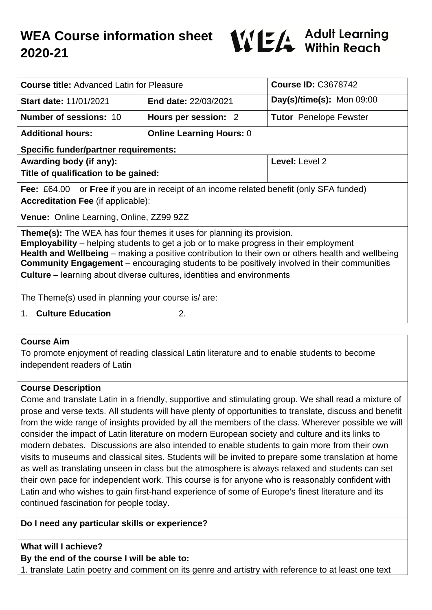

| <b>Course title: Advanced Latin for Pleasure</b>                                                                                                                                                                                                                                                                                                                                                                                                                        |                                 | <b>Course ID: C3678742</b>    |
|-------------------------------------------------------------------------------------------------------------------------------------------------------------------------------------------------------------------------------------------------------------------------------------------------------------------------------------------------------------------------------------------------------------------------------------------------------------------------|---------------------------------|-------------------------------|
| <b>Start date: 11/01/2021</b>                                                                                                                                                                                                                                                                                                                                                                                                                                           | <b>End date: 22/03/2021</b>     | $Day(s)/time(s)$ : Mon 09:00  |
| <b>Number of sessions: 10</b>                                                                                                                                                                                                                                                                                                                                                                                                                                           | Hours per session: 2            | <b>Tutor</b> Penelope Fewster |
| <b>Additional hours:</b>                                                                                                                                                                                                                                                                                                                                                                                                                                                | <b>Online Learning Hours: 0</b> |                               |
| <b>Specific funder/partner requirements:</b>                                                                                                                                                                                                                                                                                                                                                                                                                            |                                 |                               |
| Awarding body (if any):                                                                                                                                                                                                                                                                                                                                                                                                                                                 |                                 | Level: Level 2                |
| Title of qualification to be gained:                                                                                                                                                                                                                                                                                                                                                                                                                                    |                                 |                               |
| <b>Fee:</b> £64.00 or <b>Free</b> if you are in receipt of an income related benefit (only SFA funded)                                                                                                                                                                                                                                                                                                                                                                  |                                 |                               |
| <b>Accreditation Fee (if applicable):</b>                                                                                                                                                                                                                                                                                                                                                                                                                               |                                 |                               |
| Venue: Online Learning, Online, ZZ99 9ZZ                                                                                                                                                                                                                                                                                                                                                                                                                                |                                 |                               |
| <b>Theme(s):</b> The WEA has four themes it uses for planning its provision.<br><b>Employability</b> – helping students to get a job or to make progress in their employment<br>Health and Wellbeing – making a positive contribution to their own or others health and wellbeing<br><b>Community Engagement</b> – encouraging students to be positively involved in their communities<br><b>Culture</b> – learning about diverse cultures, identities and environments |                                 |                               |
| The Theme(s) used in planning your course is/are:                                                                                                                                                                                                                                                                                                                                                                                                                       |                                 |                               |
| <b>Culture Education</b><br>1.                                                                                                                                                                                                                                                                                                                                                                                                                                          | $\overline{2}$ .                |                               |

#### **Course Aim**

To promote enjoyment of reading classical Latin literature and to enable students to become independent readers of Latin

### **Course Description**

Come and translate Latin in a friendly, supportive and stimulating group. We shall read a mixture of prose and verse texts. All students will have plenty of opportunities to translate, discuss and benefit from the wide range of insights provided by all the members of the class. Wherever possible we will consider the impact of Latin literature on modern European society and culture and its links to modern debates. Discussions are also intended to enable students to gain more from their own visits to museums and classical sites. Students will be invited to prepare some translation at home as well as translating unseen in class but the atmosphere is always relaxed and students can set their own pace for independent work. This course is for anyone who is reasonably confident with Latin and who wishes to gain first-hand experience of some of Europe's finest literature and its continued fascination for people today.

### **Do I need any particular skills or experience?**

**What will I achieve?**

**By the end of the course I will be able to:**

1. translate Latin poetry and comment on its genre and artistry with reference to at least one text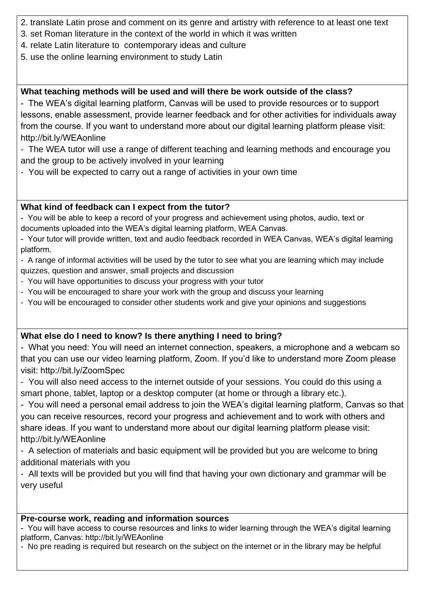- 2. translate Latin prose and comment on its genre and artistry with reference to at least one text
- 3. set Roman literature in the context of the world in which it was written
- 4. relate Latin literature to contemporary ideas and culture
- 5. use the online learning environment to study Latin

# **What teaching methods will be used and will there be work outside of the class?**

- The WEA's digital learning platform, Canvas will be used to provide resources or to support lessons, enable assessment, provide learner feedback and for other activities for individuals away from the course. If you want to understand more about our digital learning platform please visit: http://bit.ly/WEAonline

- The WEA tutor will use a range of different teaching and learning methods and encourage you and the group to be actively involved in your learning

- You will be expected to carry out a range of activities in your own time

# **What kind of feedback can I expect from the tutor?**

- You will be able to keep a record of your progress and achievement using photos, audio, text or documents uploaded into the WEA's digital learning platform, WEA Canvas.

- Your tutor will provide written, text and audio feedback recorded in WEA Canvas, WEA's digital learning platform.

- A range of informal activities will be used by the tutor to see what you are learning which may include quizzes, question and answer, small projects and discussion

- You will have opportunities to discuss your progress with your tutor
- You will be encouraged to share your work with the group and discuss your learning
- You will be encouraged to consider other students work and give your opinions and suggestions

# **What else do I need to know? Is there anything I need to bring?**

- What you need: You will need an internet connection, speakers, a microphone and a webcam so that you can use our video learning platform, Zoom. If you'd like to understand more Zoom please visit: http://bit.ly/ZoomSpec

- You will also need access to the internet outside of your sessions. You could do this using a smart phone, tablet, laptop or a desktop computer (at home or through a library etc.).

- You will need a personal email address to join the WEA's digital learning platform, Canvas so that you can receive resources, record your progress and achievement and to work with others and share ideas. If you want to understand more about our digital learning platform please visit: http://bit.ly/WEAonline

- A selection of materials and basic equipment will be provided but you are welcome to bring additional materials with you

- All texts will be provided but you will find that having your own dictionary and grammar will be very useful

## **Pre-course work, reading and information sources**

- You will have access to course resources and links to wider learning through the WEA's digital learning platform, Canvas: http://bit.ly/WEAonline

- No pre reading is required but research on the subject on the internet or in the library may be helpful